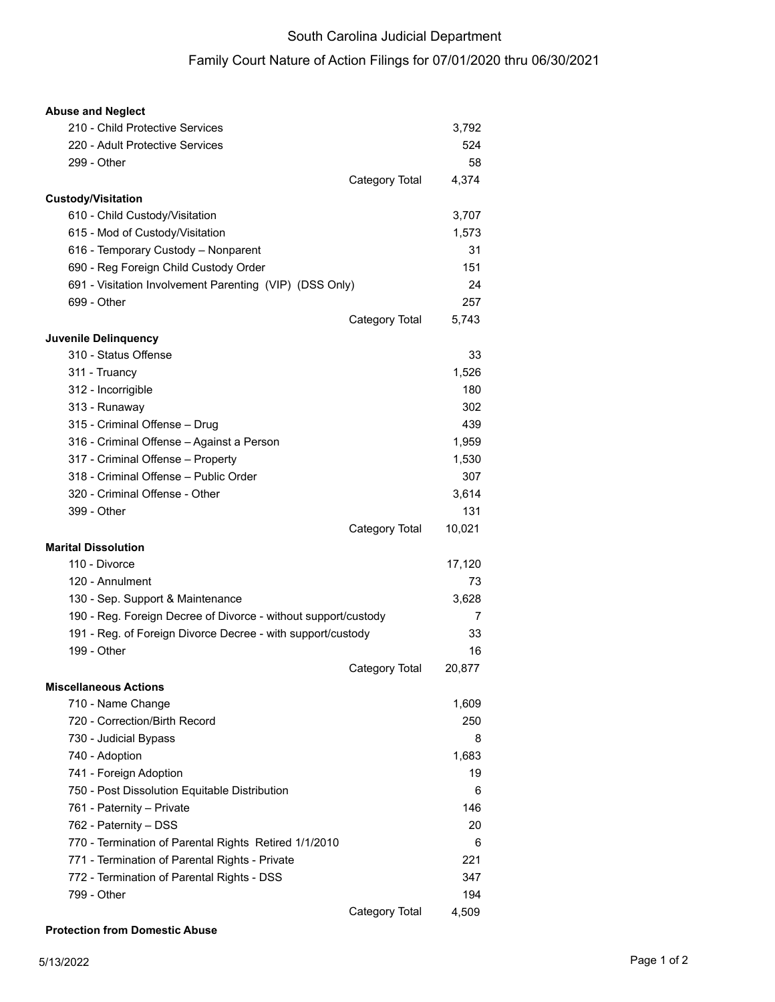## South Carolina Judicial Department

## Family Court Nature of Action Filings for 07/01/2020 thru 06/30/2021

| <b>Abuse and Neglect</b>                                       |                |        |
|----------------------------------------------------------------|----------------|--------|
| 210 - Child Protective Services                                |                | 3,792  |
| 220 - Adult Protective Services                                |                | 524    |
| 299 - Other                                                    |                | 58     |
|                                                                | Category Total | 4,374  |
| <b>Custody/Visitation</b>                                      |                |        |
| 610 - Child Custody/Visitation                                 |                | 3,707  |
| 615 - Mod of Custody/Visitation                                |                | 1,573  |
| 616 - Temporary Custody - Nonparent                            |                | 31     |
| 690 - Reg Foreign Child Custody Order                          |                | 151    |
| 691 - Visitation Involvement Parenting (VIP) (DSS Only)        |                | 24     |
| 699 - Other                                                    |                | 257    |
|                                                                | Category Total | 5,743  |
| Juvenile Delinquency                                           |                |        |
| 310 - Status Offense                                           |                | 33     |
| 311 - Truancy                                                  |                | 1,526  |
| 312 - Incorrigible                                             |                | 180    |
| 313 - Runaway                                                  |                | 302    |
| 315 - Criminal Offense - Drug                                  |                | 439    |
| 316 - Criminal Offense - Against a Person                      |                | 1,959  |
| 317 - Criminal Offense - Property                              |                | 1,530  |
| 318 - Criminal Offense - Public Order                          |                | 307    |
| 320 - Criminal Offense - Other                                 |                | 3,614  |
| 399 - Other                                                    |                | 131    |
|                                                                | Category Total | 10,021 |
| <b>Marital Dissolution</b>                                     |                |        |
| 110 - Divorce                                                  |                | 17,120 |
| 120 - Annulment                                                |                | 73     |
| 130 - Sep. Support & Maintenance                               |                | 3,628  |
| 190 - Reg. Foreign Decree of Divorce - without support/custody |                | 7      |
| 191 - Reg. of Foreign Divorce Decree - with support/custody    |                | 33     |
| 199 - Other                                                    |                | 16     |
|                                                                | Category Total | 20,877 |
| <b>Miscellaneous Actions</b>                                   |                |        |
| 710 - Name Change                                              |                | 1,609  |
| 720 - Correction/Birth Record                                  |                | 250    |
| 730 - Judicial Bypass                                          |                | 8      |
| 740 - Adoption                                                 |                | 1,683  |
| 741 - Foreign Adoption                                         |                | 19     |
| 750 - Post Dissolution Equitable Distribution                  |                | 6      |
| 761 - Paternity - Private                                      |                | 146    |
| 762 - Paternity - DSS                                          |                | 20     |
| 770 - Termination of Parental Rights Retired 1/1/2010          |                | 6      |
| 771 - Termination of Parental Rights - Private                 |                | 221    |
| 772 - Termination of Parental Rights - DSS                     |                | 347    |
| 799 - Other                                                    |                | 194    |
|                                                                | Category Total | 4,509  |

## **Protection from Domestic Abuse**